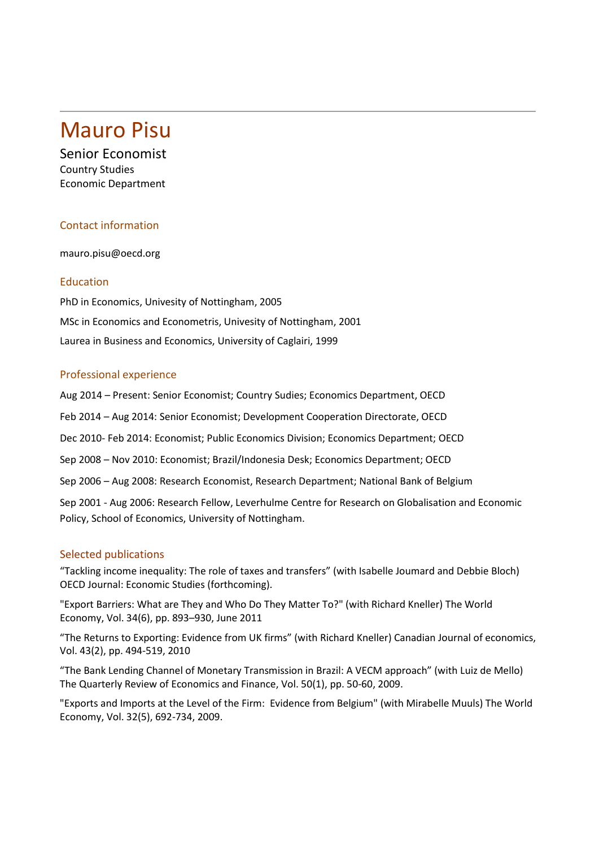# Mauro Pisu

Senior Economist Country Studies Economic Department

# Contact information

mauro.pisu@oecd.org

## Education

PhD in Economics, Univesity of Nottingham, 2005 MSc in Economics and Econometris, Univesity of Nottingham, 2001 Laurea in Business and Economics, University of Caglairi, 1999

#### Professional experience

Aug 2014 – Present: Senior Economist; Country Sudies; Economics Department, OECD

Feb 2014 – Aug 2014: Senior Economist; Development Cooperation Directorate, OECD

Dec 2010- Feb 2014: Economist; Public Economics Division; Economics Department; OECD

Sep 2008 – Nov 2010: Economist; Brazil/Indonesia Desk; Economics Department; OECD

Sep 2006 – Aug 2008: Research Economist, Research Department; National Bank of Belgium

Sep 2001 - Aug 2006: Research Fellow, Leverhulme Centre for Research on Globalisation and Economic Policy, School of Economics, University of Nottingham.

## Selected publications

"Tackling income inequality: The role of taxes and transfers" (with Isabelle Joumard and Debbie Bloch) OECD Journal: Economic Studies (forthcoming).

["Export Barriers: What are They and Who Do They Matter To?"](http://papers.ssrn.com/sol3/papers.cfm?abstract_id=968428&high=%20mauro%20pisu) (with Richard Kneller) The World Economy, Vol. 34(6), pp. 893–930, June 2011

"The Returns to Exporting: Evidence from UK firms" (with Richard Kneller) Canadian Journal of economics, Vol. 43(2), pp. 494-519, 2010

"The Bank Lending Channel of Monetary Transmission in Brazil: A VECM approach" (with Luiz de Mello) The Quarterly Review of Economics and Finance, Vol. 50(1), pp. 50-60, 2009.

"Exports and Imports at the Level of the Firm: Evidence from Belgium" (with Mirabelle Muuls) The World Economy, Vol. 32(5), 692-734, 2009.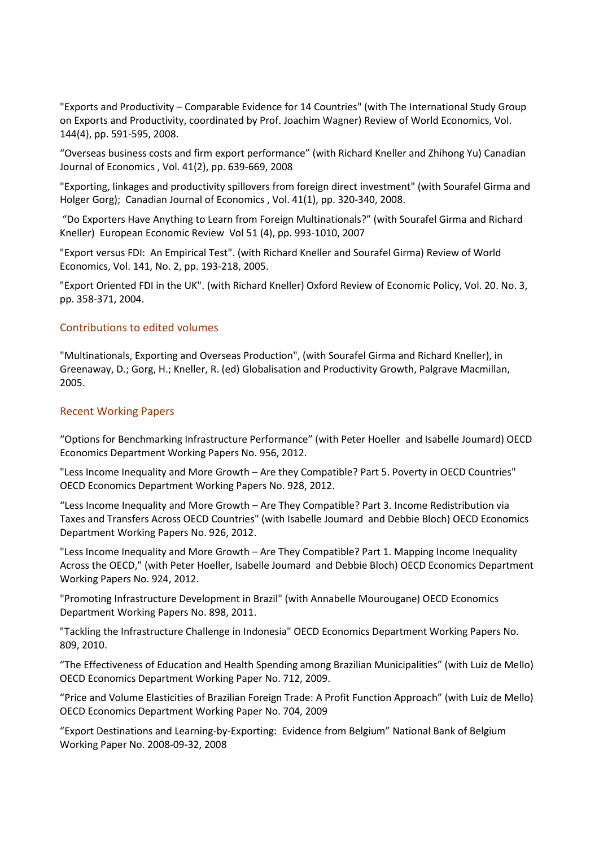"Exports and Productivity – Comparable Evidence for 14 Countries" (with The International Study Group on Exports and Productivity, coordinated by Prof. Joachim Wagner) Review of World Economics, Vol. 144(4), pp. 591-595, 2008.

"Overseas business costs and firm export performance" (with Richard Kneller and Zhihong Yu) Canadian Journal of Economics , Vol. 41(2), pp. 639-669, 2008

"Exporting, linkages and productivity spillovers from foreign direct investment" (with Sourafel Girma and Holger Gorg); Canadian Journal of Economics , Vol. 41(1), pp. 320-340, 2008.

"Do Exporters Have Anything to Learn from Foreign Multinationals?" (with Sourafel Girma and Richard Kneller) European Economic Review Vol 51 (4), pp. 993-1010, 2007

"Export versus FDI: An Empirical Test". (with Richard Kneller and Sourafel Girma) Review of World Economics, Vol. 141, No. 2, pp. 193-218, 2005.

"Export Oriented FDI in the UK". (with Richard Kneller) Oxford Review of Economic Policy, Vol. 20. No. 3, pp. 358-371, 2004.

#### Contributions to edited volumes

"Multinationals, Exporting and Overseas Production", (with Sourafel Girma and Richard Kneller), in Greenaway, D.; Gorg, H.; Kneller, R. (ed) Globalisation and Productivity Growth, Palgrave Macmillan, 2005.

#### Recent Working Papers

"Options for Benchmarking Infrastructure Performance" (with Peter Hoeller and Isabelle Joumard) OECD Economics Department Working Papers No. 956, 2012.

"Less Income Inequality and More Growth – Are they Compatible? Part 5. Poverty in OECD Countries" OECD Economics Department Working Papers No. 928, 2012.

"Less Income Inequality and More Growth – Are They Compatible? Part 3. Income Redistribution via Taxes and Transfers Across OECD Countries" (with Isabelle Joumard and Debbie Bloch) OECD Economics Department Working Papers No. 926, 2012.

"Less Income Inequality and More Growth – Are They Compatible? Part 1. Mapping Income Inequality Across the OECD," (with Peter Hoeller, Isabelle Joumard and Debbie Bloch) OECD Economics Department Working Papers No. 924, 2012.

"Promoting Infrastructure Development in Brazil" (with Annabelle Mourougane) OECD Economics Department Working Papers No. 898, 2011.

"Tackling the Infrastructure Challenge in Indonesia" OECD Economics Department Working Papers No. 809, 2010.

["The Effectiveness of Education and Health Spending among Brazilian Municipalities"](http://ideas.repec.org/p/oec/ecoaaa/712-en.html) (with Luiz de Mello) OECD Economics Department Working Paper No. 712, 2009.

["Price and Volume Elasticities of Brazilian Foreign Trade: A Profit Function Approach" \(with Luiz de Mello\)](http://ideas.repec.org/p/oec/ecoaaa/704-en.html)  OECD Economics Department Working Paper No. 704, 2009

"Export Destinations and Learning-by-Exporting: Evidence from Belgium" National Bank of Belgium Working Paper No. 2008-09-32, 2008